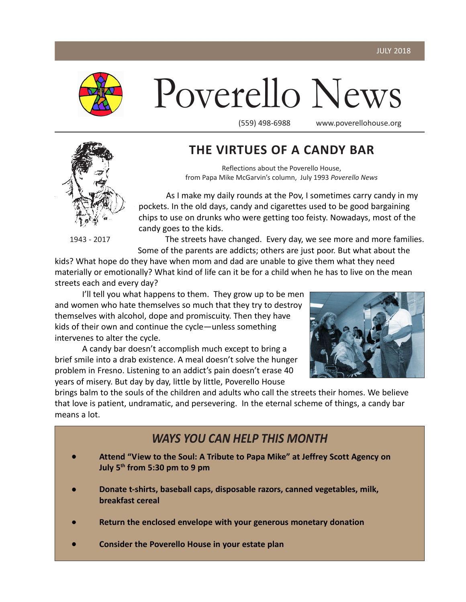

# Poverello News

(559) 498-6988 www.poverellohouse.org



1943 - 2017

### **THE VIRTUES OF A CANDY BAR**

Reflections about the Poverello House, from Papa Mike McGarvin's column, July 1993 *Poverello News*

As I make my daily rounds at the Pov, I sometimes carry candy in my pockets. In the old days, candy and cigarettes used to be good bargaining chips to use on drunks who were getting too feisty. Nowadays, most of the candy goes to the kids.

The streets have changed. Every day, we see more and more families. Some of the parents are addicts; others are just poor. But what about the

kids? What hope do they have when mom and dad are unable to give them what they need materially or emotionally? What kind of life can it be for a child when he has to live on the mean streets each and every day?

I'll tell you what happens to them. They grow up to be men and women who hate themselves so much that they try to destroy themselves with alcohol, dope and promiscuity. Then they have kids of their own and continue the cycle—unless something intervenes to alter the cycle.

A candy bar doesn't accomplish much except to bring a brief smile into a drab existence. A meal doesn't solve the hunger problem in Fresno. Listening to an addict's pain doesn't erase 40 years of misery. But day by day, little by little, Poverello House



brings balm to the souls of the children and adults who call the streets their homes. We believe that love is patient, undramatic, and persevering. In the eternal scheme of things, a candy bar means a lot.

### *WAYS YOU CAN HELP THIS MONTH*

- **Attend "View to the Soul: A Tribute to Papa Mike" at Jeffrey Scott Agency on July 5th from 5:30 pm to 9 pm**
- **Donate t-shirts, baseball caps, disposable razors, canned vegetables, milk, breakfast cereal**
- **Return the enclosed envelope with your generous monetary donation**
- **Consider the Poverello House in your estate plan**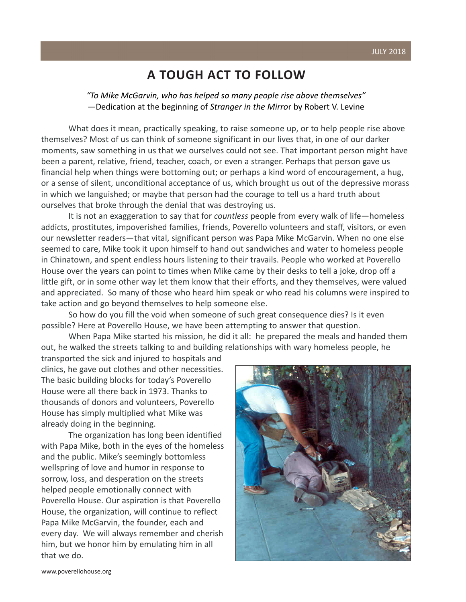#### **A TOUGH ACT TO FOLLOW**

*"To Mike McGarvin, who has helped so many people rise above themselves"* —Dedication at the beginning of *Stranger in the Mirro*r by Robert V. Levine

What does it mean, practically speaking, to raise someone up, or to help people rise above themselves? Most of us can think of someone significant in our lives that, in one of our darker moments, saw something in us that we ourselves could not see. That important person might have been a parent, relative, friend, teacher, coach, or even a stranger. Perhaps that person gave us financial help when things were bottoming out; or perhaps a kind word of encouragement, a hug, or a sense of silent, unconditional acceptance of us, which brought us out of the depressive morass in which we languished; or maybe that person had the courage to tell us a hard truth about ourselves that broke through the denial that was destroying us.

It is not an exaggeration to say that for *countless* people from every walk of life—homeless addicts, prostitutes, impoverished families, friends, Poverello volunteers and staff, visitors, or even our newsletter readers—that vital, significant person was Papa Mike McGarvin. When no one else seemed to care, Mike took it upon himself to hand out sandwiches and water to homeless people in Chinatown, and spent endless hours listening to their travails. People who worked at Poverello House over the years can point to times when Mike came by their desks to tell a joke, drop off a little gift, or in some other way let them know that their efforts, and they themselves, were valued and appreciated. So many of those who heard him speak or who read his columns were inspired to take action and go beyond themselves to help someone else.

So how do you fill the void when someone of such great consequence dies? Is it even possible? Here at Poverello House, we have been attempting to answer that question.

When Papa Mike started his mission, he did it all: he prepared the meals and handed them out, he walked the streets talking to and building relationships with wary homeless people, he

transported the sick and injured to hospitals and clinics, he gave out clothes and other necessities. The basic building blocks for today's Poverello House were all there back in 1973. Thanks to thousands of donors and volunteers, Poverello House has simply multiplied what Mike was already doing in the beginning.

The organization has long been identified with Papa Mike, both in the eyes of the homeless and the public. Mike's seemingly bottomless wellspring of love and humor in response to sorrow, loss, and desperation on the streets helped people emotionally connect with Poverello House. Our aspiration is that Poverello House, the organization, will continue to reflect Papa Mike McGarvin, the founder, each and every day. We will always remember and cherish him, but we honor him by emulating him in all that we do.